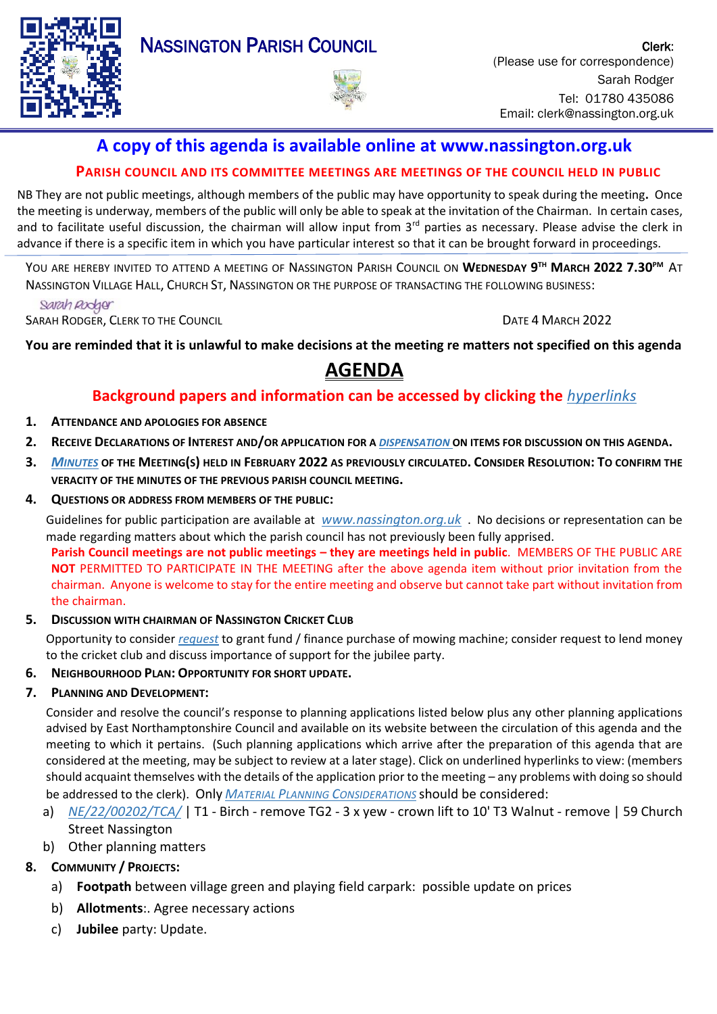

# **A copy of this agenda is available online at www.nassington.org.uk**

## **PARISH COUNCIL AND ITS COMMITTEE MEETINGS ARE MEETINGS OF THE COUNCIL HELD IN PUBLIC**

NB They are not public meetings, although members of the public may have opportunity to speak during the meeting**.** Once the meeting is underway, members of the public will only be able to speak at the invitation of the Chairman. In certain cases, and to facilitate useful discussion, the chairman will allow input from  $3<sup>rd</sup>$  parties as necessary. Please advise the clerk in advance if there is a specific item in which you have particular interest so that it can be brought forward in proceedings.

YOU ARE HEREBY INVITED TO ATTEND A MEETING OF NASSINGTON PARISH COUNCIL ON **WEDNESDAY 9 TH MARCH 2022 7.30PM** AT NASSINGTON VILLAGE HALL, CHURCH ST, NASSINGTON OR THE PURPOSE OF TRANSACTING THE FOLLOWING BUSINESS:

Sarah Rodger

SARAH RODGER, CLERK TO THE COUNCIL **Example 2022** 

**You are reminded that it is unlawful to make decisions at the meeting re matters not specified on this agenda** 

# **AGENDA**

# **Background papers and information can be accessed by clicking the** *[hyperlinks](https://en.wikipedia.org/wiki/Hyperlink)*

- **1. ATTENDANCE AND APOLOGIES FOR ABSENCE**
- **2. RECEIVE D[ECLARATIONS](http://www.east-northamptonshire.gov.uk/info/723/parish_and_town_councils/1464/deene_and_deenethorpe_parish_council) OF INTEREST AND/OR APPLICATION FOR A** *[DISPENSATION](https://www.dropbox.com/s/gcj2iv12s4iwf9h/Dispensation%20Request%20Form.dotx?dl=0)* **ON ITEMS FOR DISCUSSION ON THIS AGENDA.**
- 3. M[INUTES](https://nassington.org.uk/parish-council/agendas-and-minutes/) OF THE MEETING(S) HELD IN FEBRUARY 2022 AS PREVIOUSLY CIRCULATED. CONSIDER RESOLUTION: TO CONFIRM THE **VERACITY OF THE MINUTES OF THE PREVIOUS PARISH COUNCIL MEETING.**
- **4. QUESTIONS OR ADDRESS FROM MEMBERS OF THE PUBLIC:**

Guidelines for public participation are available at *[www.nassington.org.uk](http://www.nassington.org.uk/parish-council-administration)* . No decisions or representation can be made regarding matters about which the parish council has not previously been fully apprised. **Parish Council meetings are not public meetings – they are meetings held in public**. MEMBERS OF THE PUBLIC ARE **NOT** PERMITTED TO PARTICIPATE IN THE MEETING after the above agenda item without prior invitation from the chairman. Anyone is welcome to stay for the entire meeting and observe but cannot take part without invitation from the chairman.

## **5. DISCUSSION WITH CHAIRMAN OF NASSINGTON CRICKET CLUB**

Opportunity to consider *[request](https://www.dropbox.com/s/suc32w8jcxzwdn0/22.03%20Proposal%20from%20NCC%20to%20NPC.pdf?dl=0)* to grant fund / finance purchase of mowing machine; consider request to lend money to the cricket club and discuss importance of support for the jubilee party.

## **6. NEIGHBOURHOOD PLAN: OPPORTUNITY FOR SHORT UPDATE.**

#### **7. PLANNING AND DEVELOPMENT:**

Consider and resolve the council's response to planning applications listed below plus any other planning applications advised by East Northamptonshire Council and available on its website between the circulation of this agenda and the meeting to which it pertains. (Such planning applications which arrive after the preparation of this agenda that are considered at the meeting, may be subject to review at a later stage). Click on underlined hyperlinks to view: (members should acquaint themselves with the details of the application prior to the meeting – any problems with doing so should be addressed to the clerk). Only *MATERIAL PLANNING C[ONSIDERATIONS](https://www.dropbox.com/s/80jsr8v84t0qhg1/1706%20NCALC%20material%20planning%20considerations.pdf?dl=0)* should be considered:

- a) *[NE/22/00202/TCA/](https://publicaccess.east-northamptonshire.gov.uk/online-applications/applicationDetails.do?keyVal=R7E0X8GOMYG00&activeTab=summary)* | T1 Birch remove TG2 3 x yew crown lift to 10' T3 Walnut remove | 59 Church Street Nassington
- b) Other planning matters

## **8. COMMUNITY / PROJECTS:**

- a) **Footpath** between village green and playing field carpark: possible update on prices
- b) **Allotments**:. Agree necessary actions
- c) **Jubilee** party: Update.